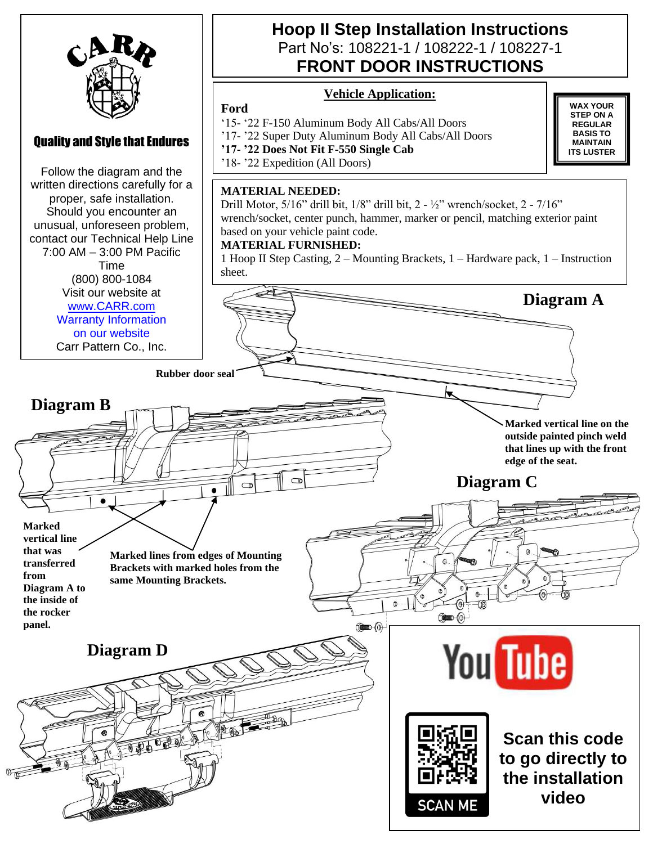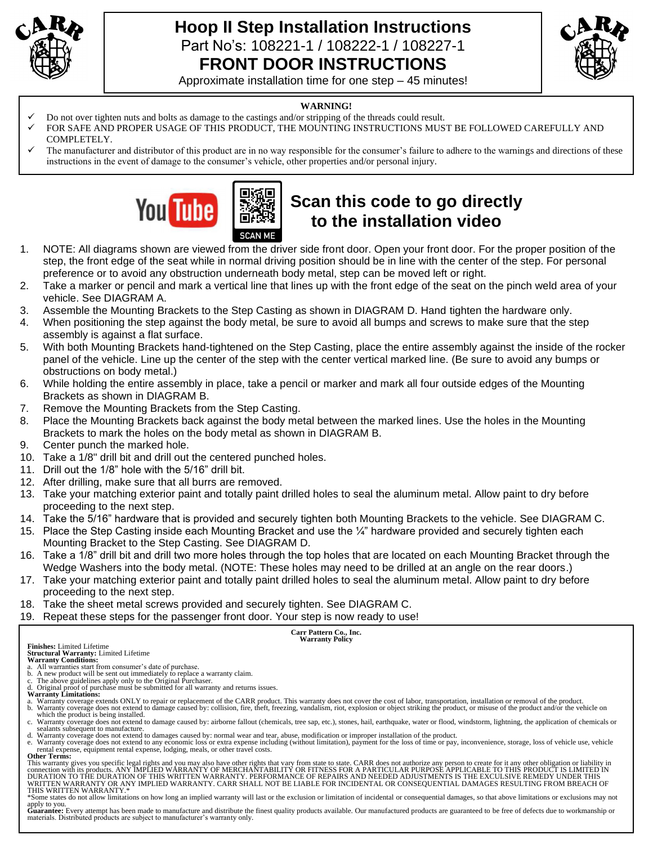

# **Hoop II Step Installation Instructions**  Part No's: 108221-1 / 108222-1 / 108227-1 **FRONT DOOR INSTRUCTIONS**



Approximate installation time for one step – 45 minutes!

#### **WARNING!**

- ✓ Do not over tighten nuts and bolts as damage to the castings and/or stripping of the threads could result.
- FOR SAFE AND PROPER USAGE OF THIS PRODUCT, THE MOUNTING INSTRUCTIONS MUST BE FOLLOWED CAREFULLY AND COMPLETELY.
- The manufacturer and distributor of this product are in no way responsible for the consumer's failure to adhere to the warnings and directions of these instructions in the event of damage to the consumer's vehicle, other properties and/or personal injury.



# **Scan this code to go directly to the installation video**

- 1. NOTE: All diagrams shown are viewed from the driver side front door. Open your front door. For the proper position of the step, the front edge of the seat while in normal driving position should be in line with the center of the step. For personal preference or to avoid any obstruction underneath body metal, step can be moved left or right.
- 2. Take a marker or pencil and mark a vertical line that lines up with the front edge of the seat on the pinch weld area of your vehicle. See DIAGRAM A.
- 3. Assemble the Mounting Brackets to the Step Casting as shown in DIAGRAM D. Hand tighten the hardware only.
- 4. When positioning the step against the body metal, be sure to avoid all bumps and screws to make sure that the step assembly is against a flat surface.
- 5. With both Mounting Brackets hand-tightened on the Step Casting, place the entire assembly against the inside of the rocker panel of the vehicle. Line up the center of the step with the center vertical marked line. (Be sure to avoid any bumps or obstructions on body metal.)
- 6. While holding the entire assembly in place, take a pencil or marker and mark all four outside edges of the Mounting Brackets as shown in DIAGRAM B.
- 7. Remove the Mounting Brackets from the Step Casting.
- 8. Place the Mounting Brackets back against the body metal between the marked lines. Use the holes in the Mounting Brackets to mark the holes on the body metal as shown in DIAGRAM B.
- 9. Center punch the marked hole.
- 10. Take a 1/8" drill bit and drill out the centered punched holes.
- 11. Drill out the 1/8" hole with the 5/16" drill bit.
- 12. After drilling, make sure that all burrs are removed.
- 13. Take your matching exterior paint and totally paint drilled holes to seal the aluminum metal. Allow paint to dry before proceeding to the next step.
- 14. Take the 5/16" hardware that is provided and securely tighten both Mounting Brackets to the vehicle. See DIAGRAM C.
- 15. Place the Step Casting inside each Mounting Bracket and use the ¼" hardware provided and securely tighten each Mounting Bracket to the Step Casting. See DIAGRAM D.
- 16. Take a 1/8" drill bit and drill two more holes through the top holes that are located on each Mounting Bracket through the Wedge Washers into the body metal. (NOTE: These holes may need to be drilled at an angle on the rear doors.)
- 17. Take your matching exterior paint and totally paint drilled holes to seal the aluminum metal. Allow paint to dry before proceeding to the next step.
- 18. Take the sheet metal screws provided and securely tighten. See DIAGRAM C.
- 19. Repeat these steps for the passenger front door. Your step is now ready to use!

# **Carr Pattern Co., Inc. Warranty Policy**

**Finishes:** Limited Lifetime **Structural Warranty:** Limited Lifetime

- 
- 
- 
- 
- a. All warranties start from consumer's date of purchase.<br>b. A new product will be sent out immediately to replace a warranty claim.<br>C. The above guidelines apply only to the Original Purchaser.<br>Warranty Limitations:<br>A Ori b. Warranty coverage does not extend to damage caused by: collision, fire, theft, freezing, vandalism, riot, explosion or object striking the product, or misuse of the product and/or the vehicle on
- which the product is being installed.<br>c. Warranty coverage does not extend to damage caused by: airborne fallout (chemicals, tree sap, etc.), stones, hail, earthquake, water or flood, windstorm, lightning, the application
- sealants subsequent to manufacture. d. Warranty coverage does not extend to damages caused by: normal wear and tear, abuse, modification or improper installation of the product.
- e. Warranty coverage does not extend to any economic loss or extra expense including (without limitation), payment for the loss of time or pay, inconvenience, storage, loss of vehicle use, vehicle rental expense, equipment rental expense, lodging, meals, or other travel costs. **Other Terms:**

This warranty gives you specific legal rights and you may also have other rights that vary from state to state. CARR does not authorize any person to create for it any other obligation or liability in<br>connection with its p THIS WRITTEN WARRANTY.\*

\*Some states do not allow limitations on how long an implied warranty will last or the exclusion or limitation of incidental or consequential damages, so that above limitations or exclusions may not

apply to you.<br>Guarantee: Every attempt has been made to manufacture and distribute the finest quality products available. Our manufactured products are guaranteed to be free of defects due to workmanship or<br>materials. Dist

**Warranty Conditions:**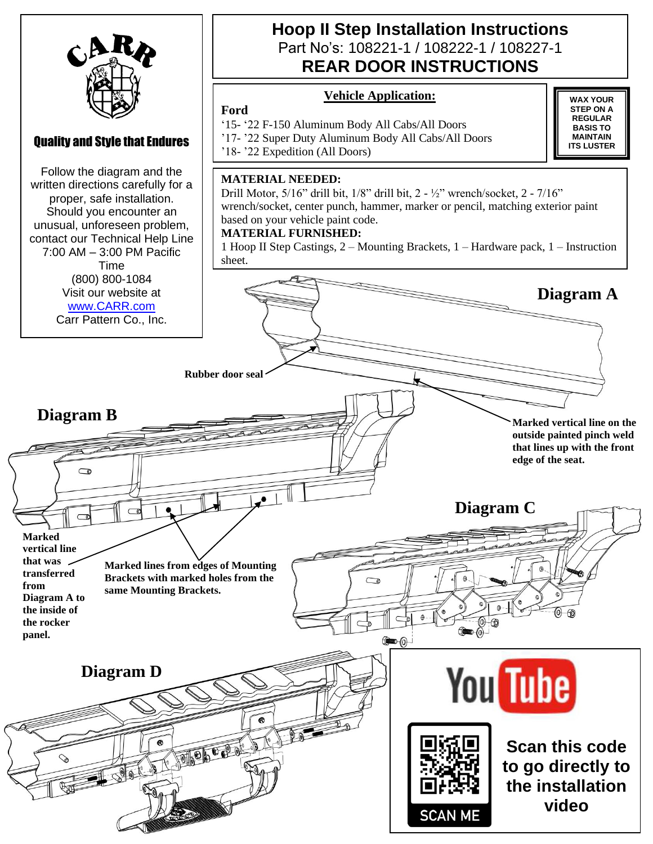

### Quality and Style that Endures

Follow the diagram and the written directions carefully for a proper, safe installation. Should you encounter an unusual, unforeseen problem, contact our Technical Help Line 7:00 AM – 3:00 PM Pacific Time (800) 800-1084 Visit our website at [www.CARR.com](http://www.carr.com/) Carr Pattern Co., Inc.

### **Hoop II Step Installation Instructions**  Part No's: 108221-1 / 108222-1 / 108227-1 **REAR DOOR INSTRUCTIONS**

### **Vehicle Application:**

### **Ford**

'15- '22 F-150 Aluminum Body All Cabs/All Doors

'17- '22 Super Duty Aluminum Body All Cabs/All Doors

'18- '22 Expedition (All Doors)

#### **MATERIAL NEEDED:**

Drill Motor, 5/16" drill bit, 1/8" drill bit, 2 - ½" wrench/socket, 2 - 7/16" wrench/socket, center punch, hammer, marker or pencil, matching exterior paint based on your vehicle paint code.

#### **MATERIAL FURNISHED:**

1 Hoop II Step Castings, 2 – Mounting Brackets, 1 – Hardware pack, 1 – Instruction sheet.

**Rubber door seal Diagram B Marked vertical line on the outside painted pinch weld that lines up with the front edge of the seat.**  $\sqrt{ }$ **Diagram C Marked vertical line that was Marked lines from edges of Mounting transferred Brackets with marked holes from the from same Mounting Brackets. Diagram A to the inside of the rocker panel. You** Tube **Diagram D** To the burney **Scan this code to go directly to the installation** 

**WAX YOUR STEP ON A REGULAR BASIS TO MAINTAIN ITS LUSTER**

**Diagram A**

**video**

**SCAN ME**